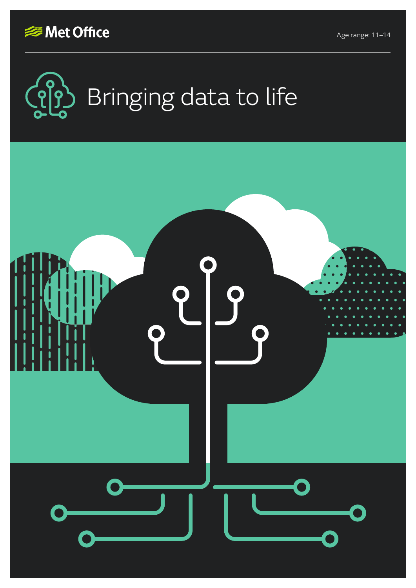





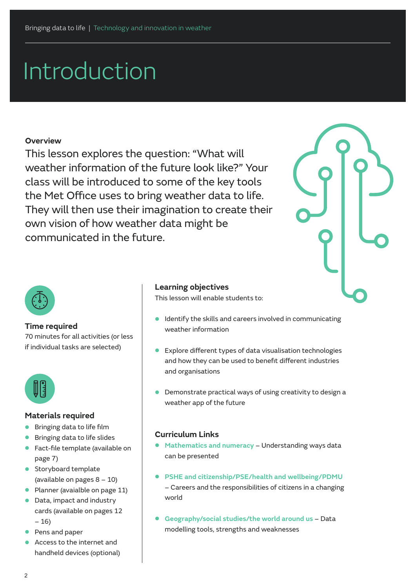# Introduction

#### **Overview**

This lesson explores the question: "What will weather information of the future look like?" Your class will be introduced to some of the key tools the Met Office uses to bring weather data to life. They will then use their imagination to create their own vision of how weather data might be communicated in the future.





#### **Time required**

70 minutes for all activities (or less if individual tasks are selected)



#### **Materials required**

- **•** Bringing data to life film
- **•** Bringing data to life slides
- **•** Fact-file template (available on page 7)
- **•** Storyboard template (available on pages 8 – 10)
- **•** Planner (avaialble on page 11)
- **•** Data, impact and industry cards (available on pages 12 – 16)
- **•** Pens and paper
- **•** Access to the internet and handheld devices (optional)

#### **Learning objectives**

This lesson will enable students to:

- **•** Identify the skills and careers involved in communicating weather information
- **•** Explore different types of data visualisation technologies and how they can be used to benefit different industries and organisations
- **•** Demonstrate practical ways of using creativity to design a weather app of the future

#### **Curriculum Links**

- **• Mathematics and numeracy** Understanding ways data can be presented
- **• PSHE and citizenship/PSE/health and wellbeing/PDMU** – Careers and the responsibilities of citizens in a changing world
- **• Geography/social studies/the world around us**  Data modelling tools, strengths and weaknesses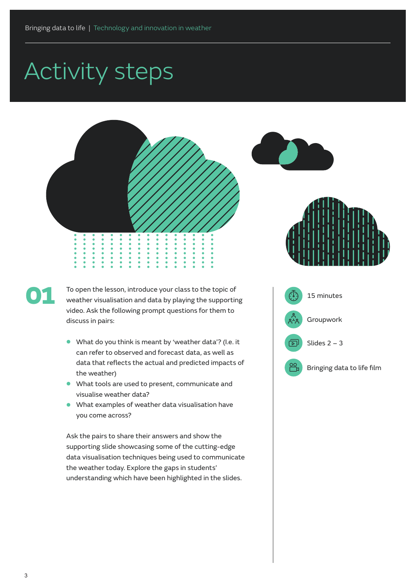



To open the lesson, introduce your class to the topic of weather visualisation and data by playing the supporting video. Ask the following prompt questions for them to discuss in pairs:

- **•** What do you think is meant by 'weather data'? (I.e. it can refer to observed and forecast data, as well as data that reflects the actual and predicted impacts of the weather)
- **•** What tools are used to present, communicate and visualise weather data?
- **•** What examples of weather data visualisation have you come across?

Ask the pairs to share their answers and show the supporting slide showcasing some of the cutting-edge data visualisation techniques being used to communicate the weather today. Explore the gaps in students' understanding which have been highlighted in the slides.





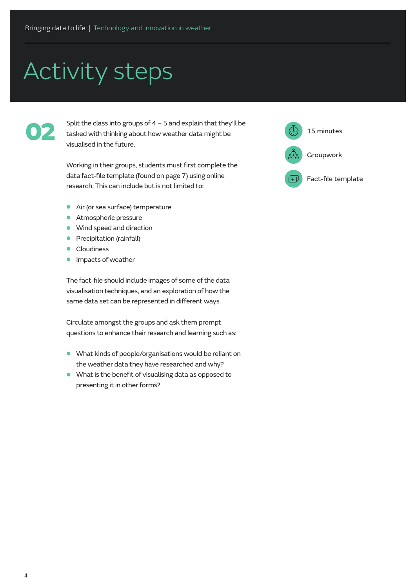02

Split the class into groups of  $4 - 5$  and explain that they'll be tasked with thinking about how weather data might be visualised in the future.

Working in their groups, students must first complete the data fact-file template (found on page 7) using online research. This can include but is not limited to:

- **•** Air (or sea surface) temperature
- **•** Atmospheric pressure
- **•** Wind speed and direction
- **•** Precipitation (rainfall)
- **•** Cloudiness
- **•** Impacts of weather

The fact-file should include images of some of the data visualisation techniques, and an exploration of how the same data set can be represented in different ways.

Circulate amongst the groups and ask them prompt questions to enhance their research and learning such as:

- **•** What kinds of people/organisations would be reliant on the weather data they have researched and why?
- **•** What is the benefit of visualising data as opposed to presenting it in other forms?

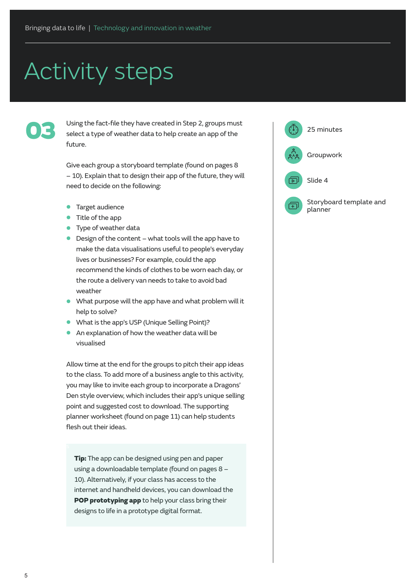Using the fact-file they have created in Step 2, groups must<br>select a type of weather data to help create an app of the<br>future Using the fact-file they have created in Step 2, groups must select a type of weather data to help create an app of the future.

> Give each group a storyboard template (found on pages 8 – 10). Explain that to design their app of the future, they will need to decide on the following:

- **•** Target audience
- **•** Title of the app
- **•** Type of weather data
- **•** Design of the content what tools will the app have to make the data visualisations useful to people's everyday lives or businesses? For example, could the app recommend the kinds of clothes to be worn each day, or the route a delivery van needs to take to avoid bad weather
- **•** What purpose will the app have and what problem will it help to solve?
- **•** What is the app's USP (Unique Selling Point)?
- **•** An explanation of how the weather data will be visualised

Allow time at the end for the groups to pitch their app ideas to the class. To add more of a business angle to this activity, you may like to invite each group to incorporate a Dragons' Den style overview, which includes their app's unique selling point and suggested cost to download. The supporting planner worksheet (found on page 11) can help students flesh out their ideas.

**Tip:** The app can be designed using pen and paper using a downloadable template (found on pages 8 – 10). Alternatively, if your class has access to the internet and handheld devices, you can download the [POP prototyping app](https://www.marvelapp.com/pop/) to help your class bring their designs to life in a prototype digital format.

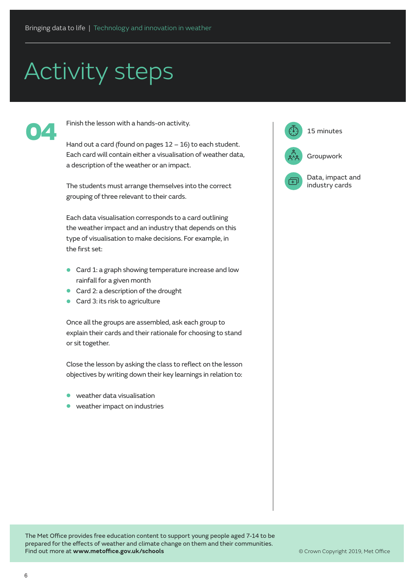

Finish the lesson with a hands-on activity.

Each card will contain either a visualisation of weather data, a description of the weather or an impact.

The students must arrange themselves into the correct grouping of three relevant to their cards.

Each data visualisation corresponds to a card outlining the weather impact and an industry that depends on this type of visualisation to make decisions. For example, in the first set:

- **•** Card 1: a graph showing temperature increase and low rainfall for a given month
- **•** Card 2: a description of the drought
- **•** Card 3: its risk to agriculture

Once all the groups are assembled, ask each group to explain their cards and their rationale for choosing to stand or sit together.

Close the lesson by asking the class to reflect on the lesson objectives by writing down their key learnings in relation to:

- **•** weather data visualisation
- **•** weather impact on industries



The Met Office provides free education content to support young people aged 7-14 to be prepared for the effects of weather and climate change on them and their communities. Find out more at **www.metoffice.gov.uk/schools**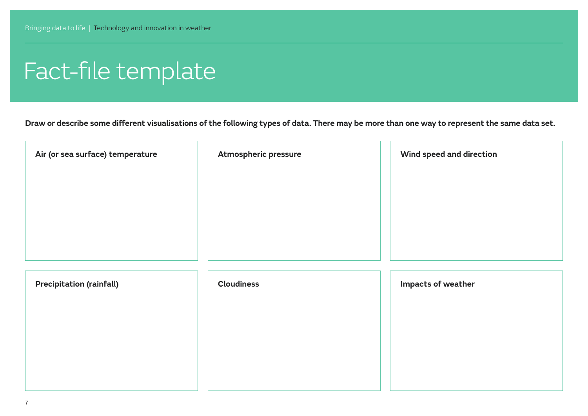# Fact-file template

**Draw or describe some different visualisations of the following types of data. There may be more than one way to represent the same data set.** 

| Air (or sea surface) temperature | Atmospheric pressure | Wind speed and direction |
|----------------------------------|----------------------|--------------------------|
|                                  |                      |                          |
|                                  |                      |                          |
| <b>Precipitation (rainfall)</b>  | <b>Cloudiness</b>    | Impacts of weather       |
|                                  |                      |                          |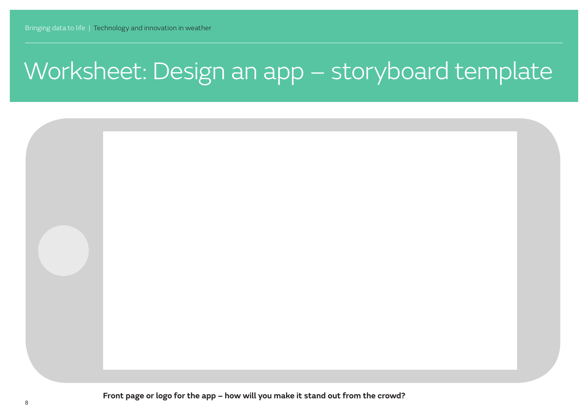## Worksheet: Design an app – storyboard template

**Front page or logo for the app – how will you make it stand out from the crowd?**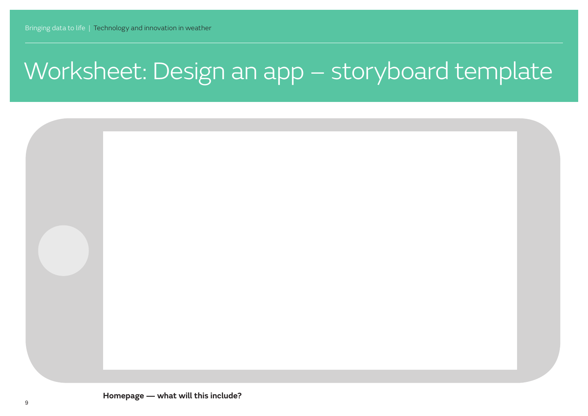# Worksheet: Design an app – storyboard template

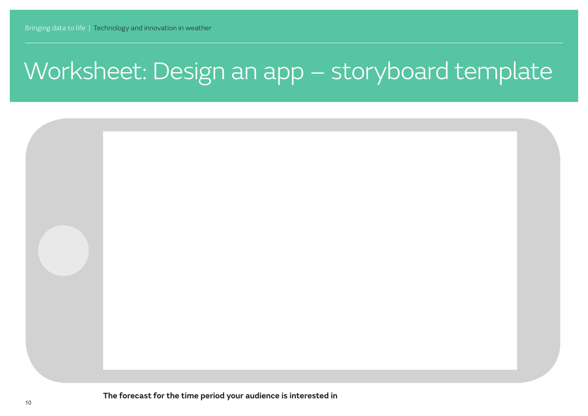## Worksheet: Design an app – storyboard template

**The forecast for the time period your audience is interested in**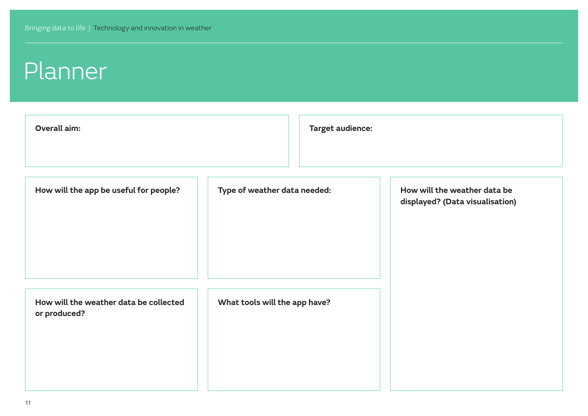#### Planner

| Overall aim:                                           |                               | <b>Target audience:</b> |                                                                 |
|--------------------------------------------------------|-------------------------------|-------------------------|-----------------------------------------------------------------|
| How will the app be useful for people?                 | Type of weather data needed:  |                         | How will the weather data be<br>displayed? (Data visualisation) |
| How will the weather data be collected<br>or produced? | What tools will the app have? |                         |                                                                 |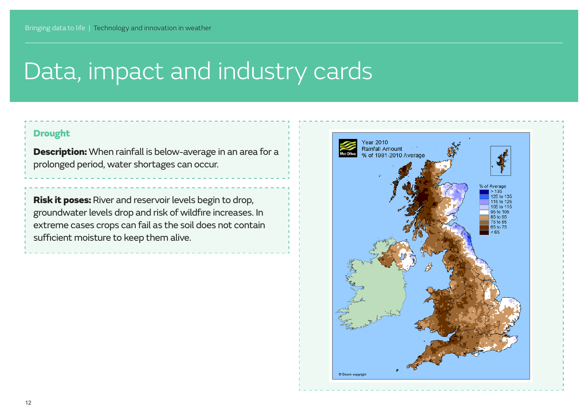#### Drought

**Description:** When rainfall is below-average in an area for a prolonged period, water shortages can occur.

Risk it poses: River and reservoir levels begin to drop, groundwater levels drop and risk of wildfire increases. In extreme cases crops can fail as the soil does not contain sufficient moisture to keep them alive.

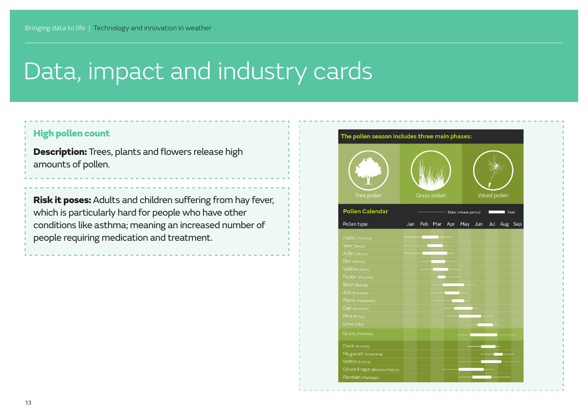#### High pollen count

**Description:** Trees, plants and flowers release high amounts of pollen.

Risk it poses: Adults and children suffering from hay fever, which is particularly hard for people who have other conditions like asthma; meaning an increased number of people requiring medication and treatment.

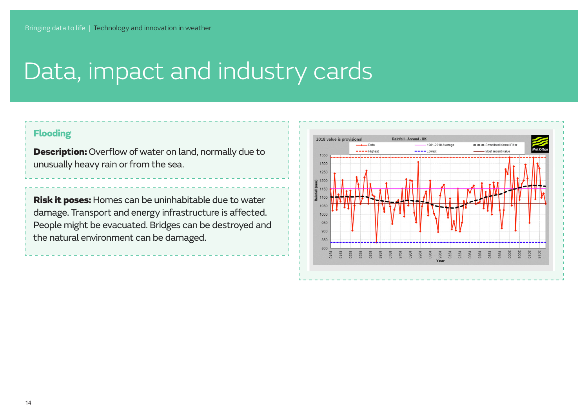#### Flooding

Description: Overflow of water on land, normally due to unusually heavy rain or from the sea.

Risk it poses: Homes can be uninhabitable due to water damage. Transport and energy infrastructure is affected. People might be evacuated. Bridges can be destroyed and the natural environment can be damaged.

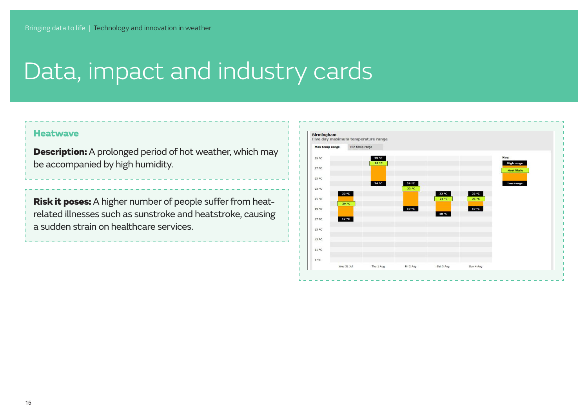#### **Heatwave**

**Description:** A prolonged period of hot weather, which may be accompanied by high humidity.

Risk it poses: A higher number of people suffer from heatrelated illnesses such as sunstroke and heatstroke, causing a sudden strain on healthcare services.